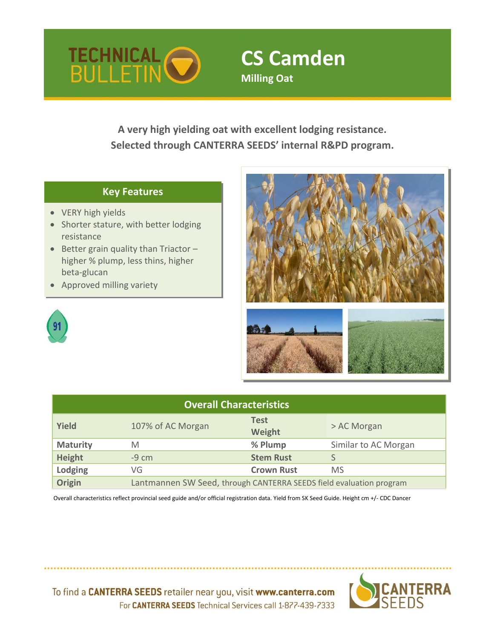

# **CS Camden Milling Oat**

**A very high yielding oat with excellent lodging resistance. Selected through CANTERRA SEEDS' internal R&PD program.**

## **Key Features**

- VERY high yields
- Shorter stature, with better lodging resistance
- Better grain quality than Triactor higher % plump, less thins, higher beta-glucan
- Approved milling variety



| <b>Overall Characteristics</b> |                                                                     |                       |                      |  |  |  |  |  |  |
|--------------------------------|---------------------------------------------------------------------|-----------------------|----------------------|--|--|--|--|--|--|
| <b>Yield</b>                   | 107% of AC Morgan                                                   | <b>Test</b><br>Weight | > AC Morgan          |  |  |  |  |  |  |
| <b>Maturity</b>                | M                                                                   | % Plump               | Similar to AC Morgan |  |  |  |  |  |  |
| Height                         | $-9 \, \text{cm}$                                                   | <b>Stem Rust</b>      |                      |  |  |  |  |  |  |
| Lodging                        | VG                                                                  | <b>Crown Rust</b>     | <b>MS</b>            |  |  |  |  |  |  |
| Origin                         | Lantmannen SW Seed, through CANTERRA SEEDS field evaluation program |                       |                      |  |  |  |  |  |  |

 Overall characteristics reflect provincial seed guide and/or official registration data. Yield from SK Seed Guide. Height cm +/- CDC Dancer



To find a CANTERRA SEEDS retailer near you, visit www.canterra.com For CANTERRA SEEDS Technical Services call 1-877-439-7333